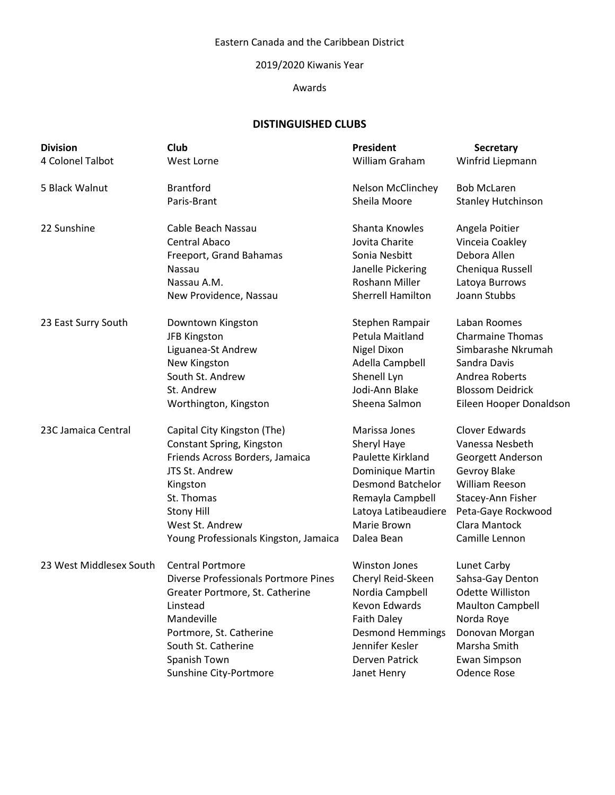## Eastern Canada and the Caribbean District

#### 2019/2020 Kiwanis Year

#### Awards

# **DISTINGUISHED CLUBS**

| <b>Division</b>         | Club                                        | <b>President</b>         | <b>Secretary</b>          |
|-------------------------|---------------------------------------------|--------------------------|---------------------------|
| 4 Colonel Talbot        | West Lorne                                  | William Graham           | Winfrid Liepmann          |
| 5 Black Walnut          | <b>Brantford</b>                            | Nelson McClinchey        | <b>Bob McLaren</b>        |
|                         | Paris-Brant                                 | Sheila Moore             | <b>Stanley Hutchinson</b> |
| 22 Sunshine             | Cable Beach Nassau                          | Shanta Knowles           | Angela Poitier            |
|                         | <b>Central Abaco</b>                        | Jovita Charite           | Vinceia Coakley           |
|                         | Freeport, Grand Bahamas                     | Sonia Nesbitt            | Debora Allen              |
|                         | Nassau                                      | Janelle Pickering        | Cheniqua Russell          |
|                         | Nassau A.M.                                 | <b>Roshann Miller</b>    | Latoya Burrows            |
|                         | New Providence, Nassau                      | <b>Sherrell Hamilton</b> | Joann Stubbs              |
| 23 East Surry South     | Downtown Kingston                           | Stephen Rampair          | Laban Roomes              |
|                         | <b>JFB Kingston</b>                         | Petula Maitland          | <b>Charmaine Thomas</b>   |
|                         | Liguanea-St Andrew                          | Nigel Dixon              | Simbarashe Nkrumah        |
|                         | New Kingston                                | Adella Campbell          | Sandra Davis              |
|                         | South St. Andrew                            | Shenell Lyn              | Andrea Roberts            |
|                         | St. Andrew                                  | Jodi-Ann Blake           | <b>Blossom Deidrick</b>   |
|                         | Worthington, Kingston                       | Sheena Salmon            | Eileen Hooper Donaldson   |
| 23C Jamaica Central     | Capital City Kingston (The)                 | Marissa Jones            | <b>Clover Edwards</b>     |
|                         | Constant Spring, Kingston                   | Sheryl Haye              | Vanessa Nesbeth           |
|                         | Friends Across Borders, Jamaica             | Paulette Kirkland        | Georgett Anderson         |
|                         | JTS St. Andrew                              | Dominique Martin         | Gevroy Blake              |
|                         | Kingston                                    | <b>Desmond Batchelor</b> | William Reeson            |
|                         | St. Thomas                                  | Remayla Campbell         | Stacey-Ann Fisher         |
|                         | <b>Stony Hill</b>                           | Latoya Latibeaudiere     | Peta-Gaye Rockwood        |
|                         | West St. Andrew                             | Marie Brown              | Clara Mantock             |
|                         | Young Professionals Kingston, Jamaica       | Dalea Bean               | Camille Lennon            |
| 23 West Middlesex South | <b>Central Portmore</b>                     | <b>Winston Jones</b>     | Lunet Carby               |
|                         | <b>Diverse Professionals Portmore Pines</b> | Cheryl Reid-Skeen        | Sahsa-Gay Denton          |
|                         | Greater Portmore, St. Catherine             | Nordia Campbell          | Odette Williston          |
|                         | Linstead                                    | Kevon Edwards            | <b>Maulton Campbell</b>   |
|                         | Mandeville                                  | <b>Faith Daley</b>       | Norda Roye                |
|                         | Portmore, St. Catherine                     | <b>Desmond Hemmings</b>  | Donovan Morgan            |
|                         | South St. Catherine                         | Jennifer Kesler          | Marsha Smith              |
|                         | Spanish Town                                | <b>Derven Patrick</b>    | Ewan Simpson              |
|                         | Sunshine City-Portmore                      | Janet Henry              | <b>Odence Rose</b>        |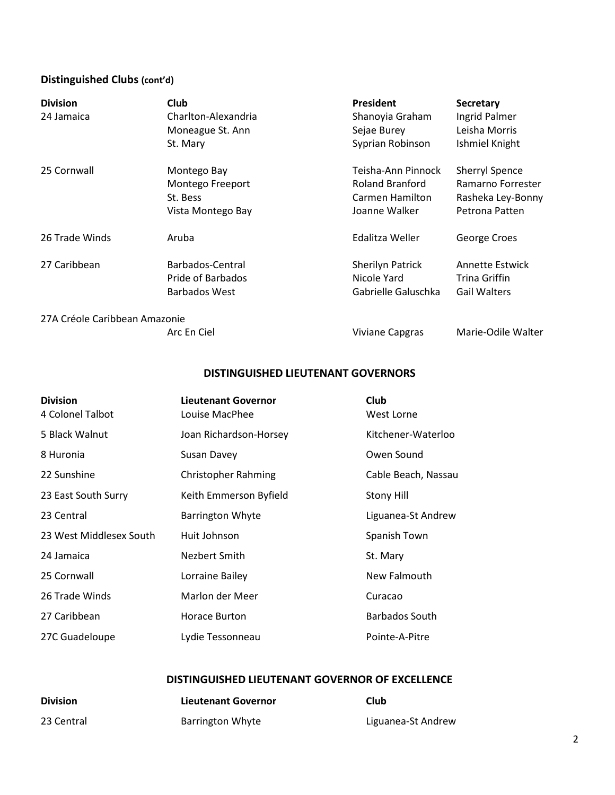# **Distinguished Clubs (cont'd)**

| <b>Division</b>               | Club                 | <b>President</b>       | <b>Secretary</b>       |
|-------------------------------|----------------------|------------------------|------------------------|
| 24 Jamaica                    | Charlton-Alexandria  | Shanoyia Graham        | Ingrid Palmer          |
|                               | Moneague St. Ann     | Sejae Burey            | Leisha Morris          |
|                               | St. Mary             | Syprian Robinson       | Ishmiel Knight         |
| 25 Cornwall                   | Montego Bay          | Teisha-Ann Pinnock     | <b>Sherryl Spence</b>  |
|                               | Montego Freeport     | <b>Roland Branford</b> | Ramarno Forrester      |
|                               | St. Bess             | Carmen Hamilton        | Rasheka Ley-Bonny      |
|                               | Vista Montego Bay    | Joanne Walker          | Petrona Patten         |
| 26 Trade Winds                | Aruba                | Edalitza Weller        | George Croes           |
| 27 Caribbean                  | Barbados-Central     | Sherilyn Patrick       | <b>Annette Estwick</b> |
|                               | Pride of Barbados    | Nicole Yard            | Trina Griffin          |
|                               | <b>Barbados West</b> | Gabrielle Galuschka    | <b>Gail Walters</b>    |
| 27A Créole Caribbean Amazonie |                      |                        |                        |
|                               | Arc En Ciel          | Viviane Capgras        | Marie-Odile Walter     |

## **DISTINGUISHED LIEUTENANT GOVERNORS**

| <b>Division</b><br>4 Colonel Talbot | <b>Lieutenant Governor</b><br>Louise MacPhee | Club<br>West Lorne    |
|-------------------------------------|----------------------------------------------|-----------------------|
| 5 Black Walnut                      | Joan Richardson-Horsey                       | Kitchener-Waterloo    |
| 8 Huronia                           | Susan Davey                                  | Owen Sound            |
| 22 Sunshine                         | <b>Christopher Rahming</b>                   | Cable Beach, Nassau   |
| 23 East South Surry                 | Keith Emmerson Byfield                       | <b>Stony Hill</b>     |
| 23 Central                          | <b>Barrington Whyte</b>                      | Liguanea-St Andrew    |
| 23 West Middlesex South             | Huit Johnson                                 | Spanish Town          |
| 24 Jamaica                          | Nezbert Smith                                | St. Mary              |
| 25 Cornwall                         | Lorraine Bailey                              | New Falmouth          |
| 26 Trade Winds                      | Marlon der Meer                              | Curacao               |
| 27 Caribbean                        | Horace Burton                                | <b>Barbados South</b> |
| 27C Guadeloupe                      | Lydie Tessonneau                             | Pointe-A-Pitre        |

## **DISTINGUISHED LIEUTENANT GOVERNOR OF EXCELLENCE**

| <b>Division</b> | Lieutenant Governor     | Club               |
|-----------------|-------------------------|--------------------|
| 23 Central      | <b>Barrington Whyte</b> | Liguanea-St Andrew |